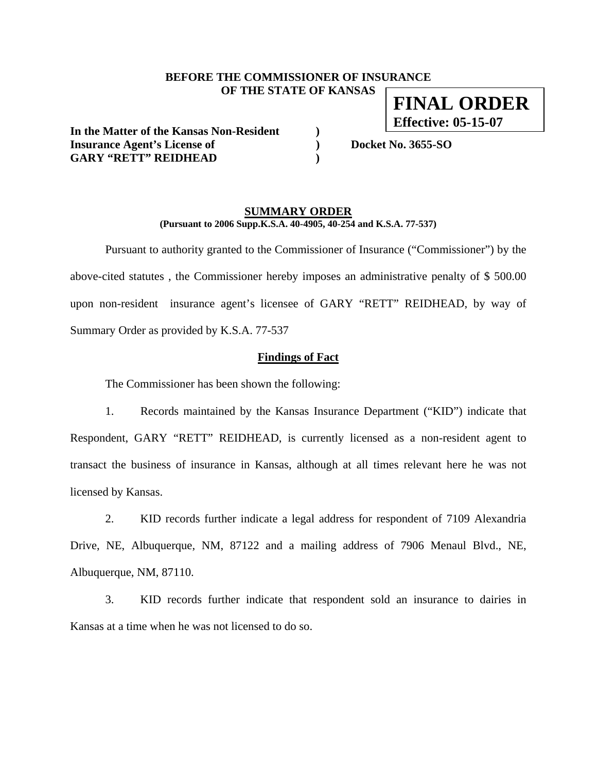## **BEFORE THE COMMISSIONER OF INSURANCE OF THE STATE OF KANSAS**

**In the Matter of the Kansas Non-Resident ) Insurance Agent's License of ) Docket No. 3655-SO GARY "RETT" REIDHEAD )** 

**FINAL ORDER Effective: 05-15-07**

## **SUMMARY ORDER (Pursuant to 2006 Supp.K.S.A. 40-4905, 40-254 and K.S.A. 77-537)**

 Pursuant to authority granted to the Commissioner of Insurance ("Commissioner") by the above-cited statutes , the Commissioner hereby imposes an administrative penalty of \$ 500.00 upon non-resident insurance agent's licensee of GARY "RETT" REIDHEAD, by way of Summary Order as provided by K.S.A. 77-537

## **Findings of Fact**

The Commissioner has been shown the following:

1. Records maintained by the Kansas Insurance Department ("KID") indicate that Respondent, GARY "RETT" REIDHEAD, is currently licensed as a non-resident agent to transact the business of insurance in Kansas, although at all times relevant here he was not licensed by Kansas.

2. KID records further indicate a legal address for respondent of 7109 Alexandria Drive, NE, Albuquerque, NM, 87122 and a mailing address of 7906 Menaul Blvd., NE, Albuquerque, NM, 87110.

3. KID records further indicate that respondent sold an insurance to dairies in Kansas at a time when he was not licensed to do so.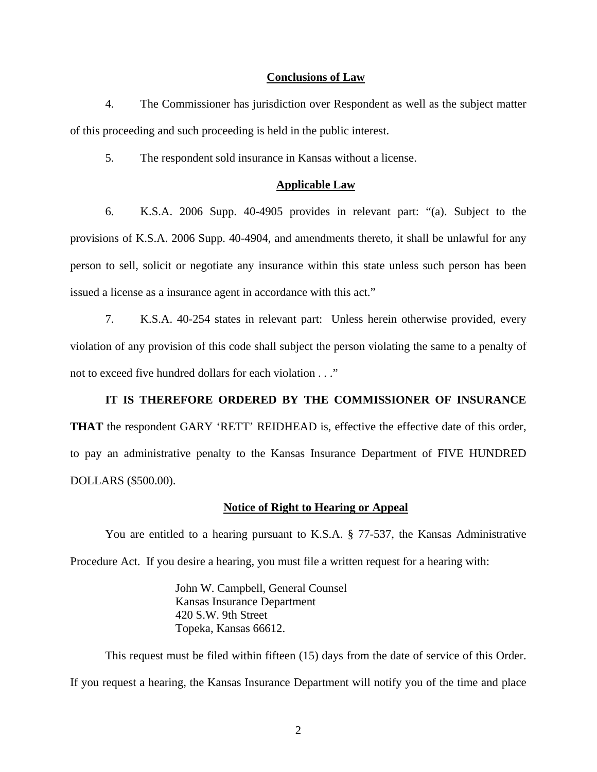#### **Conclusions of Law**

4. The Commissioner has jurisdiction over Respondent as well as the subject matter of this proceeding and such proceeding is held in the public interest.

5. The respondent sold insurance in Kansas without a license.

#### **Applicable Law**

6. K.S.A. 2006 Supp. 40-4905 provides in relevant part: "(a). Subject to the provisions of K.S.A. 2006 Supp. 40-4904, and amendments thereto, it shall be unlawful for any person to sell, solicit or negotiate any insurance within this state unless such person has been issued a license as a insurance agent in accordance with this act."

7. K.S.A. 40-254 states in relevant part: Unless herein otherwise provided, every violation of any provision of this code shall subject the person violating the same to a penalty of not to exceed five hundred dollars for each violation . . ."

## **IT IS THEREFORE ORDERED BY THE COMMISSIONER OF INSURANCE**

**THAT** the respondent GARY 'RETT' REIDHEAD is, effective the effective date of this order, to pay an administrative penalty to the Kansas Insurance Department of FIVE HUNDRED DOLLARS (\$500.00).

#### **Notice of Right to Hearing or Appeal**

You are entitled to a hearing pursuant to K.S.A. § 77-537, the Kansas Administrative Procedure Act. If you desire a hearing, you must file a written request for a hearing with:

> John W. Campbell, General Counsel Kansas Insurance Department 420 S.W. 9th Street Topeka, Kansas 66612.

This request must be filed within fifteen (15) days from the date of service of this Order. If you request a hearing, the Kansas Insurance Department will notify you of the time and place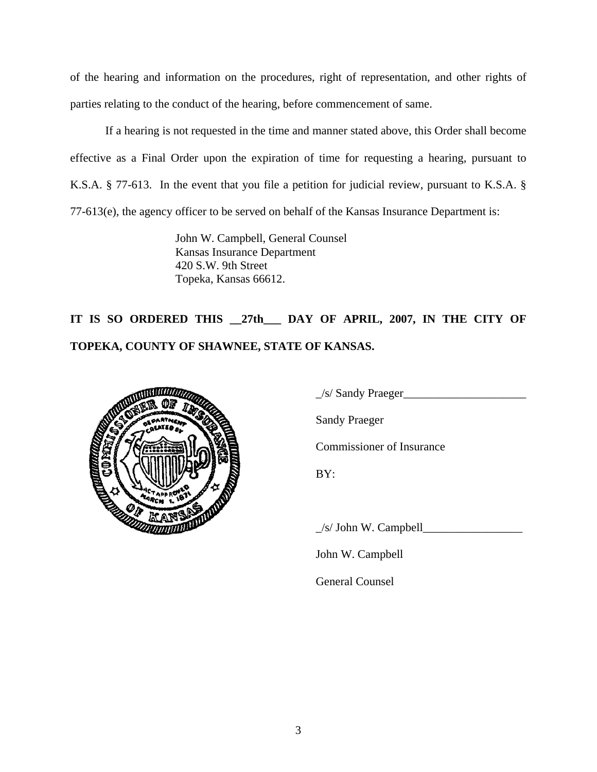of the hearing and information on the procedures, right of representation, and other rights of parties relating to the conduct of the hearing, before commencement of same.

If a hearing is not requested in the time and manner stated above, this Order shall become effective as a Final Order upon the expiration of time for requesting a hearing, pursuant to K.S.A. § 77-613. In the event that you file a petition for judicial review, pursuant to K.S.A. § 77-613(e), the agency officer to be served on behalf of the Kansas Insurance Department is:

> John W. Campbell, General Counsel Kansas Insurance Department 420 S.W. 9th Street Topeka, Kansas 66612.

**IT IS SO ORDERED THIS \_\_27th\_\_\_ DAY OF APRIL, 2007, IN THE CITY OF TOPEKA, COUNTY OF SHAWNEE, STATE OF KANSAS.** 



 $\angle$ s/ Sandy Praeger $\angle$ 

Sandy Praeger

Commissioner of Insurance

 $\angle$ s/ John W. Campbell $\angle$ 

John W. Campbell

General Counsel